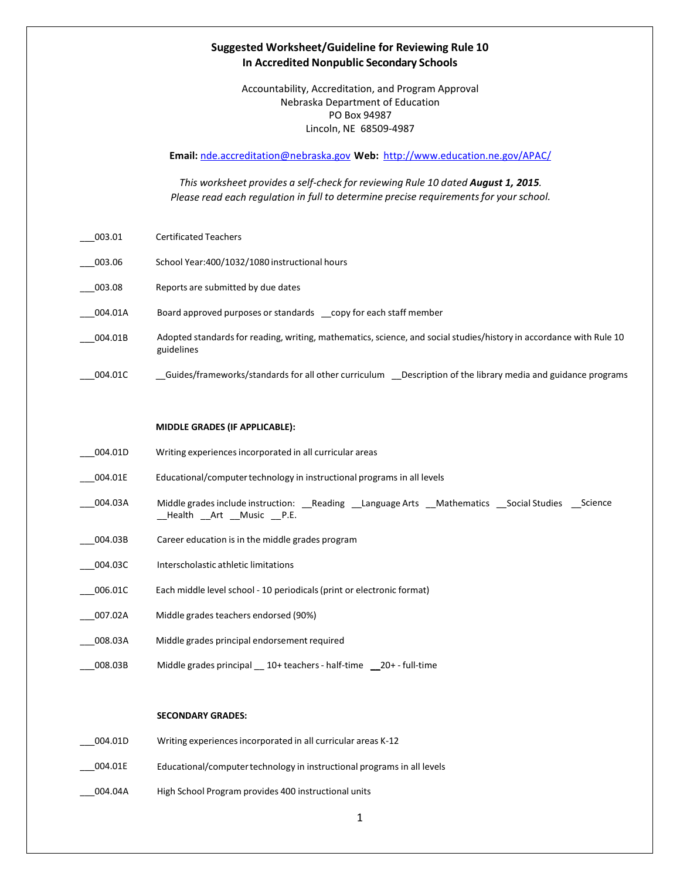## **Suggested Worksheet/Guideline for Reviewing Rule 10 In Accredited Nonpublic Secondary Schools**

Accountability, Accreditation, and Program Approval Nebraska Department of Education PO Box 94987 Lincoln, NE 68509-4987

**Email:** [nde.accreditation@nebraska.gov](mailto:nde.accreditation@nebraska.gov) **Web:** <http://www.education.ne.gov/APAC/>

*This worksheet provides a self-check for reviewing Rule 10 dated August 1, 2015. Please read each regulation in full to determine precise requirementsfor your school.*

- \_\_\_003.01 Certificated Teachers
- \_\_\_003.06 School Year:400/1032/1080 instructional hours
- \_\_\_003.08 Reports are submitted by due dates
- \_\_\_004.01A Board approved purposes or standards \_\_copy for each staff member
- \_\_\_004.01B Adopted standardsfor reading, writing, mathematics,science, and social studies/history in accordance with Rule 10 guidelines
- \_\_\_004.01C \_\_Guides/frameworks/standards for all other curriculum \_\_Description of the library media and guidance programs

## **MIDDLE GRADES (IF APPLICABLE):**

- \_\_\_004.01D Writing experiencesincorporated in all curricular areas
- \_\_\_004.01E Educational/computertechnology in instructional programs in all levels
- \_\_\_004.03A Middle grades include instruction: \_\_Reading \_\_Language Arts \_\_Mathematics \_\_Social Studies \_\_Science \_\_Health \_\_Art \_\_Music \_\_P.E.
- \_\_\_004.03B Career education is in the middle grades program
- \_\_\_004.03C Interscholastic athletic limitations
- \_\_\_006.01C Each middle level school 10 periodicals(print or electronic format)
- \_\_\_007.02A Middle grades teachers endorsed (90%)
- 008.03A Middle grades principal endorsement required
- \_\_\_008.03B Middle grades principal \_\_ 10+ teachers- half-time \_\_20+ full-time

## **SECONDARY GRADES:**

- \_\_\_004.01D Writing experiencesincorporated in all curricular areas K-12
- \_\_\_004.01E Educational/computertechnology in instructional programs in all levels
- 004.04A High School Program provides 400 instructional units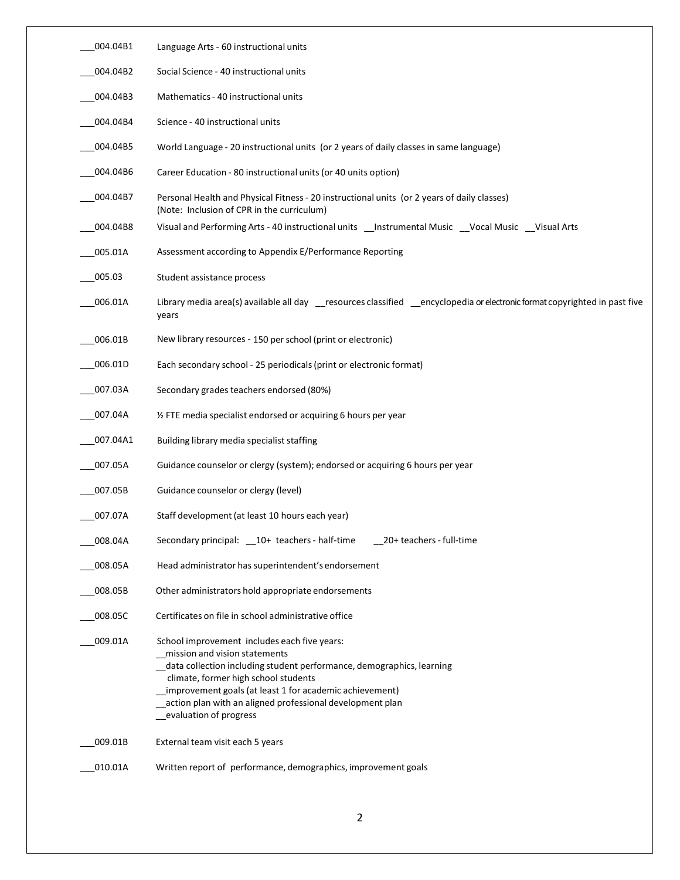| 004.04B1 | Language Arts - 60 instructional units                                                                                                                                                                                                                                                                                                           |
|----------|--------------------------------------------------------------------------------------------------------------------------------------------------------------------------------------------------------------------------------------------------------------------------------------------------------------------------------------------------|
| 004.04B2 | Social Science - 40 instructional units                                                                                                                                                                                                                                                                                                          |
| 004.04B3 | Mathematics - 40 instructional units                                                                                                                                                                                                                                                                                                             |
| 004.04B4 | Science - 40 instructional units                                                                                                                                                                                                                                                                                                                 |
| 004.04B5 | World Language - 20 instructional units (or 2 years of daily classes in same language)                                                                                                                                                                                                                                                           |
| 004.04B6 | Career Education - 80 instructional units (or 40 units option)                                                                                                                                                                                                                                                                                   |
| 004.04B7 | Personal Health and Physical Fitness - 20 instructional units (or 2 years of daily classes)<br>(Note: Inclusion of CPR in the curriculum)                                                                                                                                                                                                        |
| 004.04B8 | Visual and Performing Arts - 40 instructional units __Instrumental Music __Vocal Music __Visual Arts                                                                                                                                                                                                                                             |
| 005.01A  | Assessment according to Appendix E/Performance Reporting                                                                                                                                                                                                                                                                                         |
| 005.03   | Student assistance process                                                                                                                                                                                                                                                                                                                       |
| 006.01A  | Library media area(s) available all day _resources classified _encyclopedia or electronic format copyrighted in past five<br>years                                                                                                                                                                                                               |
| 006.01B  | New library resources - 150 per school (print or electronic)                                                                                                                                                                                                                                                                                     |
| 006.01D  | Each secondary school - 25 periodicals (print or electronic format)                                                                                                                                                                                                                                                                              |
| 007.03A  | Secondary grades teachers endorsed (80%)                                                                                                                                                                                                                                                                                                         |
| 007.04A  | 1/2 FTE media specialist endorsed or acquiring 6 hours per year                                                                                                                                                                                                                                                                                  |
| 007.04A1 | Building library media specialist staffing                                                                                                                                                                                                                                                                                                       |
| 007.05A  | Guidance counselor or clergy (system); endorsed or acquiring 6 hours per year                                                                                                                                                                                                                                                                    |
| 007.05B  | Guidance counselor or clergy (level)                                                                                                                                                                                                                                                                                                             |
| 007.07A  | Staff development (at least 10 hours each year)                                                                                                                                                                                                                                                                                                  |
| 008.04A  | Secondary principal: __ 10+ teachers - half-time<br>20+ teachers - full-time                                                                                                                                                                                                                                                                     |
| 008.05A  | Head administrator has superintendent's endorsement                                                                                                                                                                                                                                                                                              |
| 008.05B  | Other administrators hold appropriate endorsements                                                                                                                                                                                                                                                                                               |
| 008.05C  | Certificates on file in school administrative office                                                                                                                                                                                                                                                                                             |
| 009.01A  | School improvement includes each five years:<br>mission and vision statements<br>data collection including student performance, demographics, learning<br>climate, former high school students<br>improvement goals (at least 1 for academic achievement)<br>action plan with an aligned professional development plan<br>evaluation of progress |
| 009.01B  | External team visit each 5 years                                                                                                                                                                                                                                                                                                                 |
| 010.01A  | Written report of performance, demographics, improvement goals                                                                                                                                                                                                                                                                                   |